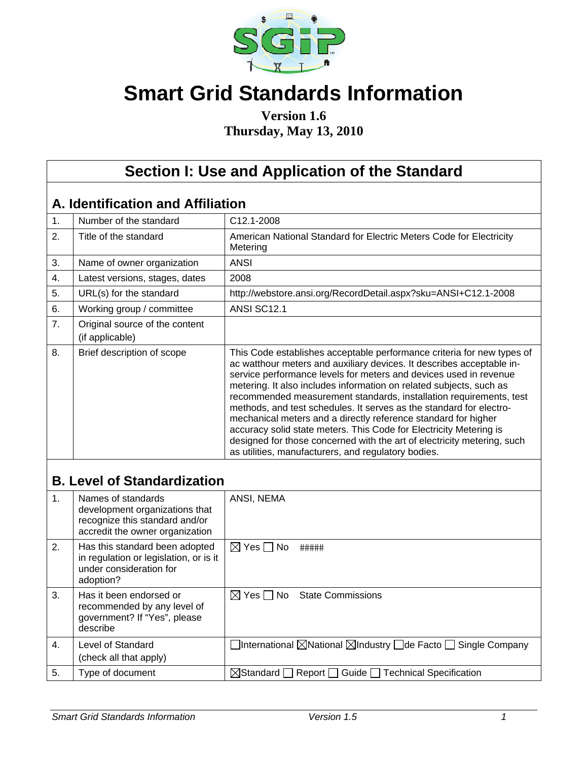

# **Smart Grid Standards Information**

#### **Version 1.6 Thursday, May 13, 2010**

|                                    | Section I: Use and Application of the Standard                                                                            |                                                                                                                                                                                                                                                                                                                                                                                                                                                                                                                                                                                                                                                                                                                    |  |  |
|------------------------------------|---------------------------------------------------------------------------------------------------------------------------|--------------------------------------------------------------------------------------------------------------------------------------------------------------------------------------------------------------------------------------------------------------------------------------------------------------------------------------------------------------------------------------------------------------------------------------------------------------------------------------------------------------------------------------------------------------------------------------------------------------------------------------------------------------------------------------------------------------------|--|--|
|                                    | A. Identification and Affiliation                                                                                         |                                                                                                                                                                                                                                                                                                                                                                                                                                                                                                                                                                                                                                                                                                                    |  |  |
| 1.                                 | Number of the standard                                                                                                    | C <sub>12.1</sub> -2008                                                                                                                                                                                                                                                                                                                                                                                                                                                                                                                                                                                                                                                                                            |  |  |
| 2.                                 | Title of the standard                                                                                                     | American National Standard for Electric Meters Code for Electricity<br>Metering                                                                                                                                                                                                                                                                                                                                                                                                                                                                                                                                                                                                                                    |  |  |
| 3.                                 | Name of owner organization                                                                                                | <b>ANSI</b>                                                                                                                                                                                                                                                                                                                                                                                                                                                                                                                                                                                                                                                                                                        |  |  |
| 4.                                 | Latest versions, stages, dates                                                                                            | 2008                                                                                                                                                                                                                                                                                                                                                                                                                                                                                                                                                                                                                                                                                                               |  |  |
| 5.                                 | URL(s) for the standard                                                                                                   | http://webstore.ansi.org/RecordDetail.aspx?sku=ANSI+C12.1-2008                                                                                                                                                                                                                                                                                                                                                                                                                                                                                                                                                                                                                                                     |  |  |
| 6.                                 | Working group / committee                                                                                                 | ANSI SC12.1                                                                                                                                                                                                                                                                                                                                                                                                                                                                                                                                                                                                                                                                                                        |  |  |
| 7.                                 | Original source of the content<br>(if applicable)                                                                         |                                                                                                                                                                                                                                                                                                                                                                                                                                                                                                                                                                                                                                                                                                                    |  |  |
| 8.                                 | Brief description of scope                                                                                                | This Code establishes acceptable performance criteria for new types of<br>ac watthour meters and auxiliary devices. It describes acceptable in-<br>service performance levels for meters and devices used in revenue<br>metering. It also includes information on related subjects, such as<br>recommended measurement standards, installation requirements, test<br>methods, and test schedules. It serves as the standard for electro-<br>mechanical meters and a directly reference standard for higher<br>accuracy solid state meters. This Code for Electricity Metering is<br>designed for those concerned with the art of electricity metering, such<br>as utilities, manufacturers, and regulatory bodies. |  |  |
| <b>B. Level of Standardization</b> |                                                                                                                           |                                                                                                                                                                                                                                                                                                                                                                                                                                                                                                                                                                                                                                                                                                                    |  |  |
| 1 <sub>1</sub>                     | Names of standards<br>development organizations that<br>recognize this standard and/or<br>accredit the owner organization | ANSI, NEMA                                                                                                                                                                                                                                                                                                                                                                                                                                                                                                                                                                                                                                                                                                         |  |  |
| 2.                                 | Has this standard been adopted<br>in regulation or legislation, or is it<br>under consideration for<br>adoption?          | $\boxtimes$ Yes $\Box$ No<br>#####                                                                                                                                                                                                                                                                                                                                                                                                                                                                                                                                                                                                                                                                                 |  |  |
| 3.                                 | Has it been endorsed or<br>recommended by any level of<br>government? If "Yes", please<br>describe                        | $\boxtimes$ Yes $\Box$ No State Commissions                                                                                                                                                                                                                                                                                                                                                                                                                                                                                                                                                                                                                                                                        |  |  |
| 4.                                 | Level of Standard<br>(check all that apply)                                                                               | $\Box$ International $\boxtimes$ National $\boxtimes$ Industry $\Box$ de Facto $\Box$ Single Company                                                                                                                                                                                                                                                                                                                                                                                                                                                                                                                                                                                                               |  |  |
| 5.                                 | Type of document                                                                                                          | Report $\Box$ Guide $\Box$<br>$\boxtimes$ Standard $\Box$<br><b>Technical Specification</b>                                                                                                                                                                                                                                                                                                                                                                                                                                                                                                                                                                                                                        |  |  |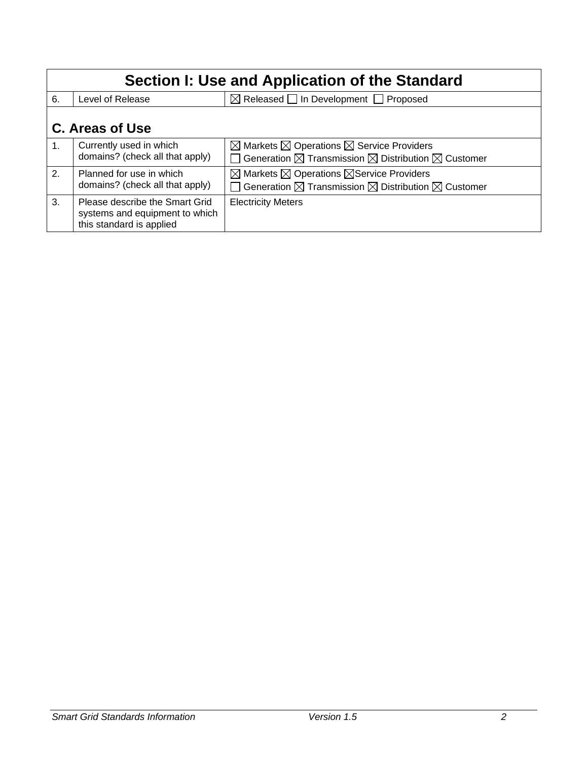|                 | Section I: Use and Application of the Standard                                               |                                                                                                                                                               |  |
|-----------------|----------------------------------------------------------------------------------------------|---------------------------------------------------------------------------------------------------------------------------------------------------------------|--|
| 6.              | Level of Release                                                                             | $\boxtimes$ Released $\Box$ In Development $\Box$ Proposed                                                                                                    |  |
| C. Areas of Use |                                                                                              |                                                                                                                                                               |  |
| 1.              | Currently used in which<br>domains? (check all that apply)                                   | $\boxtimes$ Markets $\boxtimes$ Operations $\boxtimes$ Service Providers<br>Generation $\boxtimes$ Transmission $\boxtimes$ Distribution $\boxtimes$ Customer |  |
| 2.              | Planned for use in which<br>domains? (check all that apply)                                  | $\boxtimes$ Markets $\boxtimes$ Operations $\boxtimes$ Service Providers<br>Generation $\boxtimes$ Transmission $\boxtimes$ Distribution $\boxtimes$ Customer |  |
| 3.              | Please describe the Smart Grid<br>systems and equipment to which<br>this standard is applied | <b>Electricity Meters</b>                                                                                                                                     |  |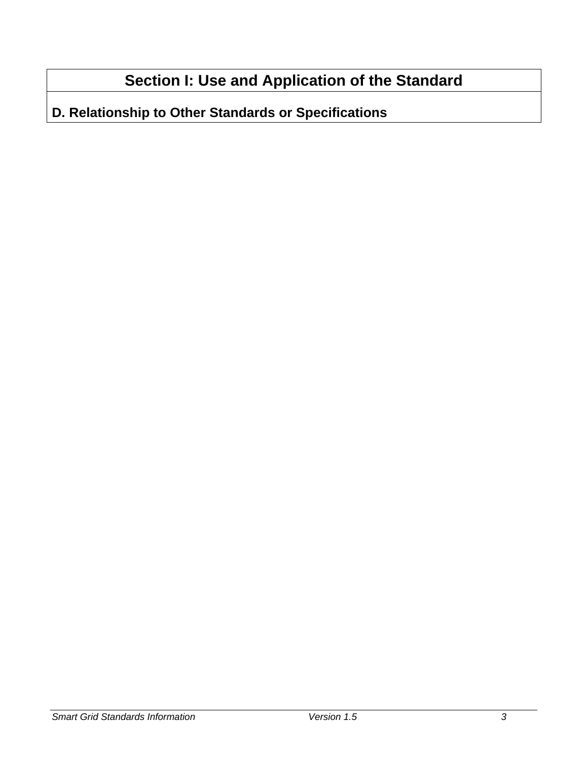# **Section I: Use and Application of the Standard**

**D. Relationship to Other Standards or Specifications**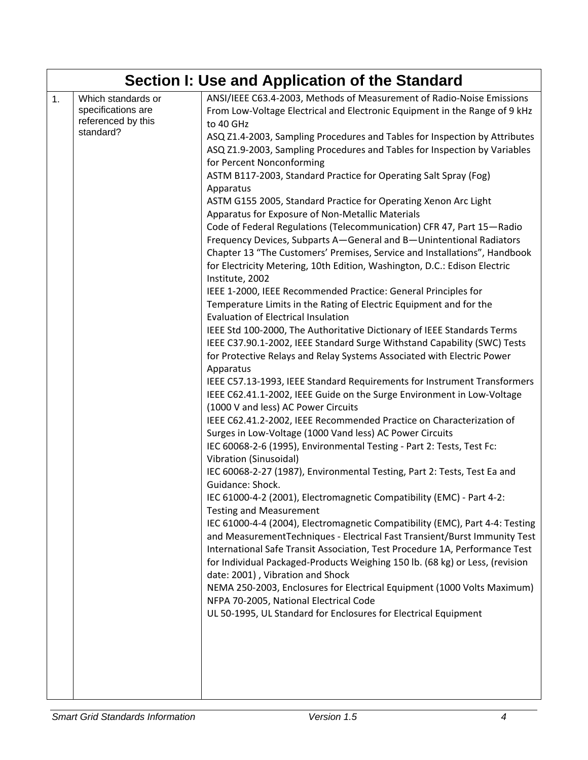|    | Section I: Use and Application of the Standard                              |                                                                                                                                                                                                                                                                                                                                                                                                                                                                                                                                                                                                                                                                                                                                                                                                                                                                                                                                                                                                                                                                                                                                                                                                                                                                                                                                                                                                                                                                                                                                                                                                                                                                                                                                                                                                                                                                                                                                                                                                                                                                                                                                                                                                                                                                                                                                                                                                                                                                                                                                          |  |
|----|-----------------------------------------------------------------------------|------------------------------------------------------------------------------------------------------------------------------------------------------------------------------------------------------------------------------------------------------------------------------------------------------------------------------------------------------------------------------------------------------------------------------------------------------------------------------------------------------------------------------------------------------------------------------------------------------------------------------------------------------------------------------------------------------------------------------------------------------------------------------------------------------------------------------------------------------------------------------------------------------------------------------------------------------------------------------------------------------------------------------------------------------------------------------------------------------------------------------------------------------------------------------------------------------------------------------------------------------------------------------------------------------------------------------------------------------------------------------------------------------------------------------------------------------------------------------------------------------------------------------------------------------------------------------------------------------------------------------------------------------------------------------------------------------------------------------------------------------------------------------------------------------------------------------------------------------------------------------------------------------------------------------------------------------------------------------------------------------------------------------------------------------------------------------------------------------------------------------------------------------------------------------------------------------------------------------------------------------------------------------------------------------------------------------------------------------------------------------------------------------------------------------------------------------------------------------------------------------------------------------------------|--|
| 1. | Which standards or<br>specifications are<br>referenced by this<br>standard? | ANSI/IEEE C63.4-2003, Methods of Measurement of Radio-Noise Emissions<br>From Low-Voltage Electrical and Electronic Equipment in the Range of 9 kHz<br>to 40 GHz<br>ASQ Z1.4-2003, Sampling Procedures and Tables for Inspection by Attributes<br>ASQ Z1.9-2003, Sampling Procedures and Tables for Inspection by Variables<br>for Percent Nonconforming<br>ASTM B117-2003, Standard Practice for Operating Salt Spray (Fog)<br>Apparatus<br>ASTM G155 2005, Standard Practice for Operating Xenon Arc Light<br>Apparatus for Exposure of Non-Metallic Materials<br>Code of Federal Regulations (Telecommunication) CFR 47, Part 15-Radio<br>Frequency Devices, Subparts A-General and B-Unintentional Radiators<br>Chapter 13 "The Customers' Premises, Service and Installations", Handbook<br>for Electricity Metering, 10th Edition, Washington, D.C.: Edison Electric<br>Institute, 2002<br>IEEE 1-2000, IEEE Recommended Practice: General Principles for<br>Temperature Limits in the Rating of Electric Equipment and for the<br><b>Evaluation of Electrical Insulation</b><br>IEEE Std 100-2000, The Authoritative Dictionary of IEEE Standards Terms<br>IEEE C37.90.1-2002, IEEE Standard Surge Withstand Capability (SWC) Tests<br>for Protective Relays and Relay Systems Associated with Electric Power<br>Apparatus<br>IEEE C57.13-1993, IEEE Standard Requirements for Instrument Transformers<br>IEEE C62.41.1-2002, IEEE Guide on the Surge Environment in Low-Voltage<br>(1000 V and less) AC Power Circuits<br>IEEE C62.41.2-2002, IEEE Recommended Practice on Characterization of<br>Surges in Low-Voltage (1000 Vand less) AC Power Circuits<br>IEC 60068-2-6 (1995), Environmental Testing - Part 2: Tests, Test Fc:<br>Vibration (Sinusoidal)<br>IEC 60068-2-27 (1987), Environmental Testing, Part 2: Tests, Test Ea and<br>Guidance: Shock.<br>IEC 61000-4-2 (2001), Electromagnetic Compatibility (EMC) - Part 4-2:<br><b>Testing and Measurement</b><br>IEC 61000-4-4 (2004), Electromagnetic Compatibility (EMC), Part 4-4: Testing<br>and MeasurementTechniques - Electrical Fast Transient/Burst Immunity Test<br>International Safe Transit Association, Test Procedure 1A, Performance Test<br>for Individual Packaged-Products Weighing 150 lb. (68 kg) or Less, (revision<br>date: 2001), Vibration and Shock<br>NEMA 250-2003, Enclosures for Electrical Equipment (1000 Volts Maximum)<br>NFPA 70-2005, National Electrical Code<br>UL 50-1995, UL Standard for Enclosures for Electrical Equipment |  |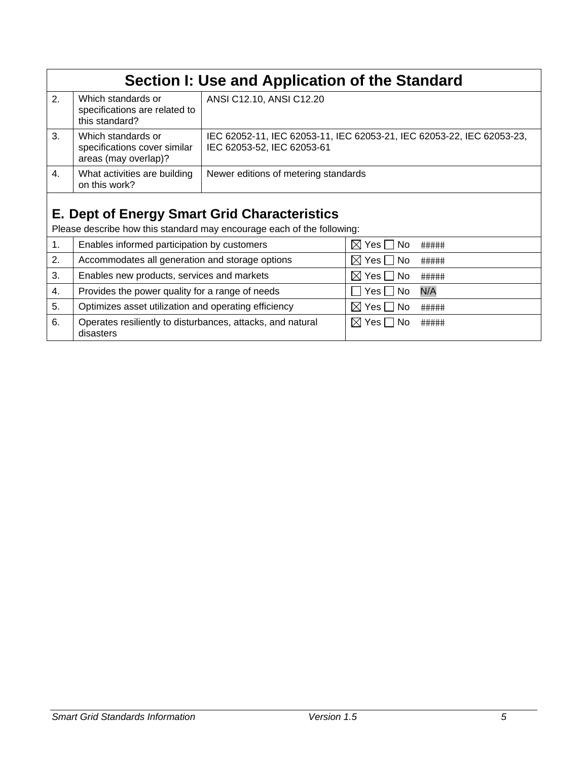|                                                                                                                               | Section I: Use and Application of the Standard                             |                                      |                                                                       |  |
|-------------------------------------------------------------------------------------------------------------------------------|----------------------------------------------------------------------------|--------------------------------------|-----------------------------------------------------------------------|--|
| 2.                                                                                                                            | Which standards or<br>specifications are related to<br>this standard?      | ANSI C12.10, ANSI C12.20             |                                                                       |  |
| 3.                                                                                                                            | Which standards or<br>specifications cover similar<br>areas (may overlap)? | IEC 62053-52, IEC 62053-61           | IEC 62052-11, IEC 62053-11, IEC 62053-21, IEC 62053-22, IEC 62053-23, |  |
| 4.                                                                                                                            | What activities are building<br>on this work?                              | Newer editions of metering standards |                                                                       |  |
| <b>E. Dept of Energy Smart Grid Characteristics</b><br>Please describe how this standard may encourage each of the following: |                                                                            |                                      |                                                                       |  |
| 1 <sub>1</sub>                                                                                                                | Enables informed participation by customers                                |                                      | $\boxtimes$ Yes $\Box$ No<br>#####                                    |  |
| 2.                                                                                                                            | Accommodates all generation and storage options                            |                                      | $\boxtimes$ Yes $\Box$ No<br>#####                                    |  |
| 3.                                                                                                                            | Enables new products, services and markets                                 |                                      | $\boxtimes$ Yes $\textsf{I}$ $\textsf{I}$ No<br>#####                 |  |
| 4.                                                                                                                            | Provides the power quality for a range of needs                            |                                      | N/A<br>Yes     No                                                     |  |
| 5.                                                                                                                            | Optimizes asset utilization and operating efficiency                       |                                      | $\boxtimes$ Yes $\textsf{I}$ $\textsf{I}$ No<br>#####                 |  |
| 6.                                                                                                                            | Operates resiliently to disturbances, attacks, and natural<br>disasters    |                                      | $\boxtimes$ Yes $\Box$ No<br>#####                                    |  |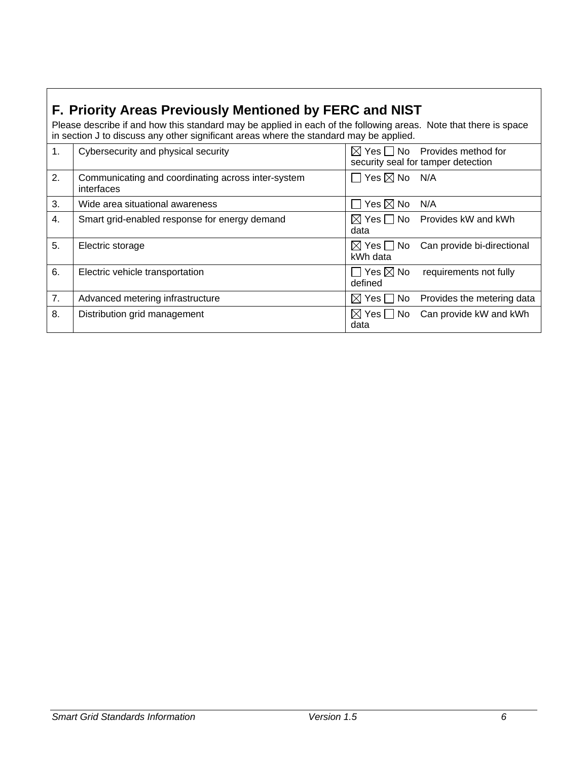## **F. Priority Areas Previously Mentioned by FERC and NIST**

Please describe if and how this standard may be applied in each of the following areas. Note that there is space in section [J](#page-8-0) to discuss any other significant areas where the standard may be applied.

| 1. | Cybersecurity and physical security                              | $\boxtimes$ Yes $\Box$ No<br>Provides method for<br>security seal for tamper detection |
|----|------------------------------------------------------------------|----------------------------------------------------------------------------------------|
| 2. | Communicating and coordinating across inter-system<br>interfaces | Yes $\boxtimes$ No<br>N/A                                                              |
| 3. | Wide area situational awareness                                  | Yes $\boxtimes$ No<br>N/A                                                              |
| 4. | Smart grid-enabled response for energy demand                    | Provides kW and kWh<br>⊠ Yes ⊟ No<br>data                                              |
| 5. | Electric storage                                                 | $\boxtimes$ Yes $\Box$ No<br>Can provide bi-directional<br>kWh data                    |
| 6. | Electric vehicle transportation                                  | Yes $\boxtimes$ No<br>requirements not fully<br>defined                                |
| 7. | Advanced metering infrastructure                                 | $\bowtie$<br>$Yes \Box$<br>Provides the metering data<br>No.                           |
| 8. | Distribution grid management                                     | $\boxtimes$ Yes $\Box$<br>Can provide kW and kWh<br>No<br>data                         |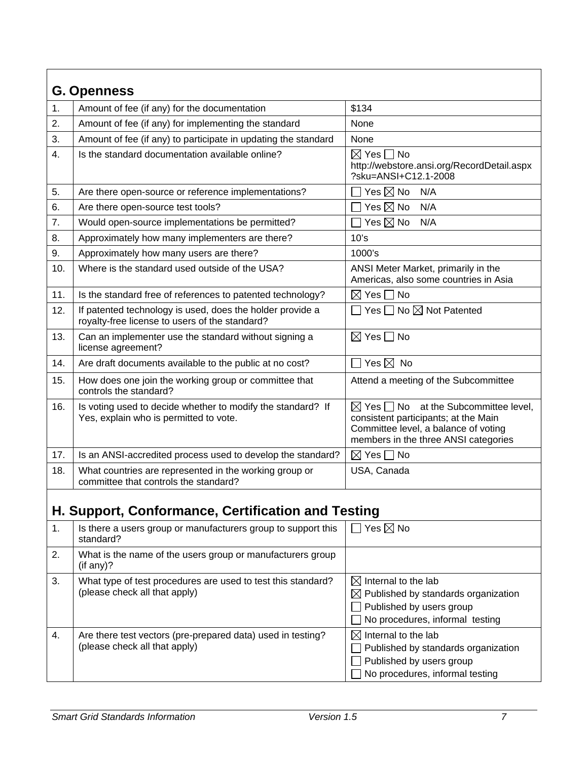|     | <b>G. Openness</b>                                                                                          |                                                                                                                                                                                              |
|-----|-------------------------------------------------------------------------------------------------------------|----------------------------------------------------------------------------------------------------------------------------------------------------------------------------------------------|
| 1.  | Amount of fee (if any) for the documentation                                                                | \$134                                                                                                                                                                                        |
| 2.  | Amount of fee (if any) for implementing the standard                                                        | None                                                                                                                                                                                         |
| 3.  | Amount of fee (if any) to participate in updating the standard                                              | None                                                                                                                                                                                         |
| 4.  | Is the standard documentation available online?                                                             | $\boxtimes$ Yes $\Box$ No<br>http://webstore.ansi.org/RecordDetail.aspx<br>?sku=ANSI+C12.1-2008                                                                                              |
| 5.  | Are there open-source or reference implementations?                                                         | Yes $\boxtimes$ No<br>N/A                                                                                                                                                                    |
| 6.  | Are there open-source test tools?                                                                           | $\exists$ Yes $\boxtimes$ No<br>N/A                                                                                                                                                          |
| 7.  | Would open-source implementations be permitted?                                                             | Yes $\boxtimes$ No<br>N/A                                                                                                                                                                    |
| 8.  | Approximately how many implementers are there?                                                              | 10's                                                                                                                                                                                         |
| 9.  | Approximately how many users are there?                                                                     | 1000's                                                                                                                                                                                       |
| 10. | Where is the standard used outside of the USA?                                                              | ANSI Meter Market, primarily in the<br>Americas, also some countries in Asia                                                                                                                 |
| 11. | Is the standard free of references to patented technology?                                                  | $\boxtimes$ Yes $\Box$ No                                                                                                                                                                    |
| 12. | If patented technology is used, does the holder provide a<br>royalty-free license to users of the standard? | $\Box$ Yes $\Box$ No $\boxtimes$ Not Patented                                                                                                                                                |
| 13. | Can an implementer use the standard without signing a<br>license agreement?                                 | $\boxtimes$ Yes $\Box$ No                                                                                                                                                                    |
| 14. | Are draft documents available to the public at no cost?                                                     | $\Box$ Yes $\boxtimes$ No                                                                                                                                                                    |
| 15. | How does one join the working group or committee that<br>controls the standard?                             | Attend a meeting of the Subcommittee                                                                                                                                                         |
| 16. | Is voting used to decide whether to modify the standard? If<br>Yes, explain who is permitted to vote.       | at the Subcommittee level,<br>$\boxtimes$ Yes $\vdash$ $\textsf{No}$<br>consistent participants; at the Main<br>Committee level, a balance of voting<br>members in the three ANSI categories |
| 17. | Is an ANSI-accredited process used to develop the standard?                                                 | $\boxtimes$ Yes $\Box$<br><b>No</b>                                                                                                                                                          |
| 18. | What countries are represented in the working group or<br>committee that controls the standard?             | USA, Canada                                                                                                                                                                                  |
|     | H. Support, Conformance, Certification and Testing                                                          |                                                                                                                                                                                              |
| 1.  | Is there a users group or manufacturers group to support this<br>standard?                                  | Yes $\boxtimes$ No                                                                                                                                                                           |
| 2.  | What is the name of the users group or manufacturers group<br>(if any)?                                     |                                                                                                                                                                                              |
| 3.  | What type of test procedures are used to test this standard?<br>(please check all that apply)               | $\boxtimes$ Internal to the lab<br>$\boxtimes$ Published by standards organization<br>Published by users group<br>No procedures, informal testing                                            |
| 4.  | Are there test vectors (pre-prepared data) used in testing?<br>(please check all that apply)                | $\boxtimes$ Internal to the lab<br>Published by standards organization<br>Published by users group<br>No procedures, informal testing                                                        |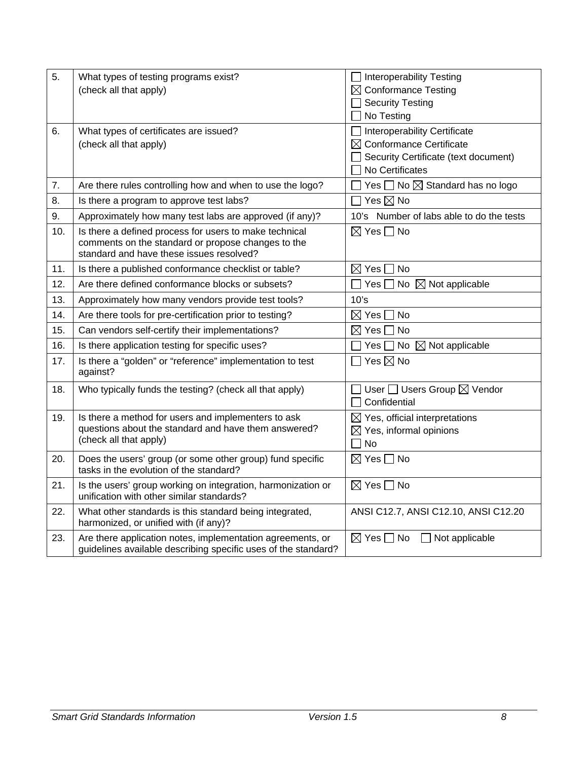| 5.  | What types of testing programs exist?                                                                                                                    | <b>Interoperability Testing</b>                    |
|-----|----------------------------------------------------------------------------------------------------------------------------------------------------------|----------------------------------------------------|
|     | (check all that apply)                                                                                                                                   | $\boxtimes$ Conformance Testing                    |
|     |                                                                                                                                                          | <b>Security Testing</b><br>No Testing              |
| 6.  | What types of certificates are issued?                                                                                                                   | Interoperability Certificate                       |
|     | (check all that apply)                                                                                                                                   | $\boxtimes$ Conformance Certificate                |
|     |                                                                                                                                                          | Security Certificate (text document)               |
|     |                                                                                                                                                          | No Certificates                                    |
| 7.  | Are there rules controlling how and when to use the logo?                                                                                                | Yes $\Box$ No $\boxtimes$ Standard has no logo     |
| 8.  | Is there a program to approve test labs?                                                                                                                 | Yes $\boxtimes$ No                                 |
| 9.  | Approximately how many test labs are approved (if any)?                                                                                                  | 10's Number of labs able to do the tests           |
| 10. | Is there a defined process for users to make technical<br>comments on the standard or propose changes to the<br>standard and have these issues resolved? | $\boxtimes$ Yes $\Box$ No                          |
| 11. | Is there a published conformance checklist or table?                                                                                                     | $\boxtimes$ Yes $\mid$<br><b>No</b>                |
| 12. | Are there defined conformance blocks or subsets?                                                                                                         | Yes<br>$\boxtimes$ Not applicable<br>No            |
| 13. | Approximately how many vendors provide test tools?                                                                                                       | 10's                                               |
| 14. | Are there tools for pre-certification prior to testing?                                                                                                  | <b>No</b><br>$\boxtimes$ Yes                       |
| 15. | Can vendors self-certify their implementations?                                                                                                          | $\boxtimes$ Yes<br><b>No</b>                       |
| 16. | Is there application testing for specific uses?                                                                                                          | No $\boxtimes$ Not applicable<br>Yes               |
| 17. | Is there a "golden" or "reference" implementation to test<br>against?                                                                                    | $Yes \boxtimes No$                                 |
| 18. | Who typically funds the testing? (check all that apply)                                                                                                  | User □ Users Group ⊠ Vendor                        |
|     |                                                                                                                                                          | Confidential                                       |
| 19. | Is there a method for users and implementers to ask                                                                                                      | $\boxtimes$ Yes, official interpretations          |
|     | questions about the standard and have them answered?<br>(check all that apply)                                                                           | $\boxtimes$ Yes, informal opinions                 |
|     |                                                                                                                                                          | <b>No</b>                                          |
| 20. | Does the users' group (or some other group) fund specific<br>tasks in the evolution of the standard?                                                     | $\boxtimes$ Yes $\Box$ No                          |
| 21. | Is the users' group working on integration, harmonization or<br>unification with other similar standards?                                                | $\boxtimes$ Yes $\Box$ No                          |
| 22. | What other standards is this standard being integrated,<br>harmonized, or unified with (if any)?                                                         | ANSI C12.7, ANSI C12.10, ANSI C12.20               |
| 23. | Are there application notes, implementation agreements, or<br>guidelines available describing specific uses of the standard?                             | $\boxtimes$ Yes $\Box$ No<br>$\Box$ Not applicable |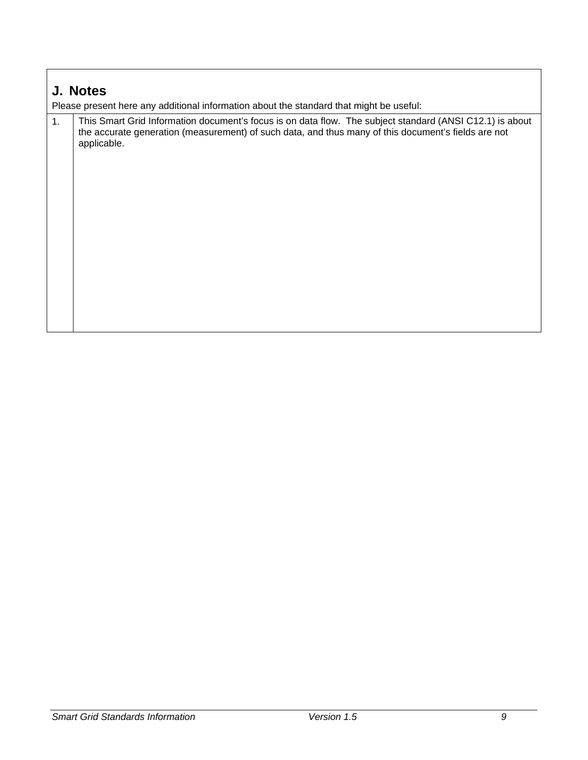#### <span id="page-8-0"></span>**J. Notes**

Please present here any additional information about the standard that might be useful:

1. This Smart Grid Information document's focus is on data flow. The subject standard (ANSI C12.1) is about the accurate generation (measurement) of such data, and thus many of this document's fields are not applicable.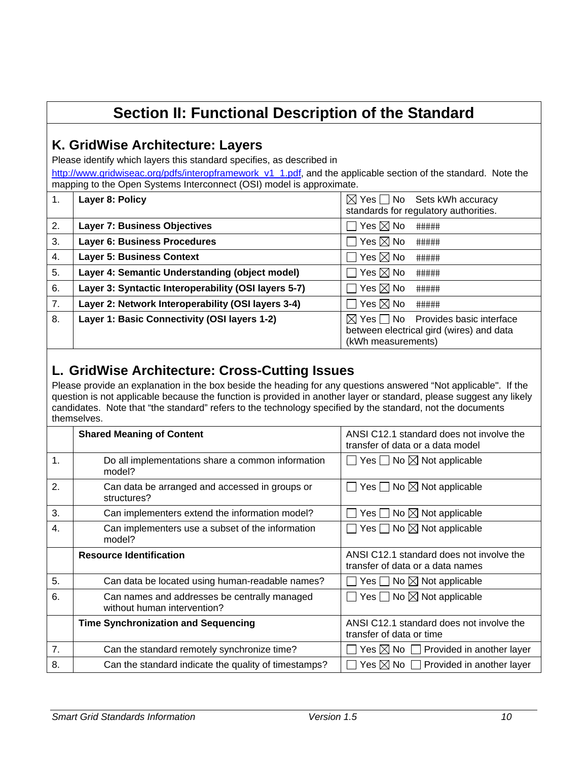## **Section II: Functional Description of the Standard**

#### **K. GridWise Architecture: Layers**

Please identify which layers this standard specifies, as described in

[http://www.gridwiseac.org/pdfs/interopframework\\_v1\\_1.pdf,](http://www.gridwiseac.org/pdfs/interopframework_v1_1.pdf) and the applicable section of the standard. Note the mapping to the Open Systems Interconnect (OSI) model is approximate.

| 1. | Layer 8: Policy                                      | $\boxtimes$ Yes $\Box$ No Sets kWh accuracy<br>standards for regulatory authorities.                                 |
|----|------------------------------------------------------|----------------------------------------------------------------------------------------------------------------------|
| 2. | <b>Layer 7: Business Objectives</b>                  | Yes $\boxtimes$ No<br>#####                                                                                          |
| 3. | <b>Layer 6: Business Procedures</b>                  | Yes $\boxtimes$ No<br>#####                                                                                          |
| 4. | <b>Layer 5: Business Context</b>                     | Yes $\boxtimes$ No<br>#####                                                                                          |
| 5. | Layer 4: Semantic Understanding (object model)       | Yes $\boxtimes$ No<br>#####                                                                                          |
| 6. | Layer 3: Syntactic Interoperability (OSI layers 5-7) | Yes $\boxtimes$ No<br>#####                                                                                          |
| 7. | Layer 2: Network Interoperability (OSI layers 3-4)   | Yes $\boxtimes$ No<br>#####                                                                                          |
| 8. | Layer 1: Basic Connectivity (OSI layers 1-2)         | $\boxtimes$ Yes $\Box$ No Provides basic interface<br>between electrical gird (wires) and data<br>(kWh measurements) |

#### **L. GridWise Architecture: Cross-Cutting Issues**

Please provide an explanation in the box beside the heading for any questions answered "Not applicable". If the question is not applicable because the function is provided in another layer or standard, please suggest any likely candidates. Note that "the standard" refers to the technology specified by the standard, not the documents themselves.

|    | <b>Shared Meaning of Content</b>                                            | ANSI C12.1 standard does not involve the<br>transfer of data or a data model |
|----|-----------------------------------------------------------------------------|------------------------------------------------------------------------------|
| 1. | Do all implementations share a common information<br>model?                 | $\Box$ Yes $\Box$ No $\boxtimes$ Not applicable                              |
| 2. | Can data be arranged and accessed in groups or<br>structures?               | Yes $\Box$ No $\boxtimes$ Not applicable                                     |
| 3. | Can implementers extend the information model?                              | Yes $\Box$ No $\boxtimes$ Not applicable                                     |
| 4. | Can implementers use a subset of the information<br>model?                  | $\Box$ Yes $\Box$ No $\boxtimes$ Not applicable                              |
|    | <b>Resource Identification</b>                                              | ANSI C12.1 standard does not involve the<br>transfer of data or a data names |
| 5. | Can data be located using human-readable names?                             | Yes $\Box$ No $\boxtimes$ Not applicable                                     |
| 6. | Can names and addresses be centrally managed<br>without human intervention? | $\Box$ Yes $\Box$ No $\boxtimes$ Not applicable                              |
|    | <b>Time Synchronization and Sequencing</b>                                  | ANSI C12.1 standard does not involve the<br>transfer of data or time         |
| 7. | Can the standard remotely synchronize time?                                 | Yes $\boxtimes$ No $\Box$ Provided in another layer                          |
| 8. | Can the standard indicate the quality of timestamps?                        | Yes $\boxtimes$ No $\Box$ Provided in another layer                          |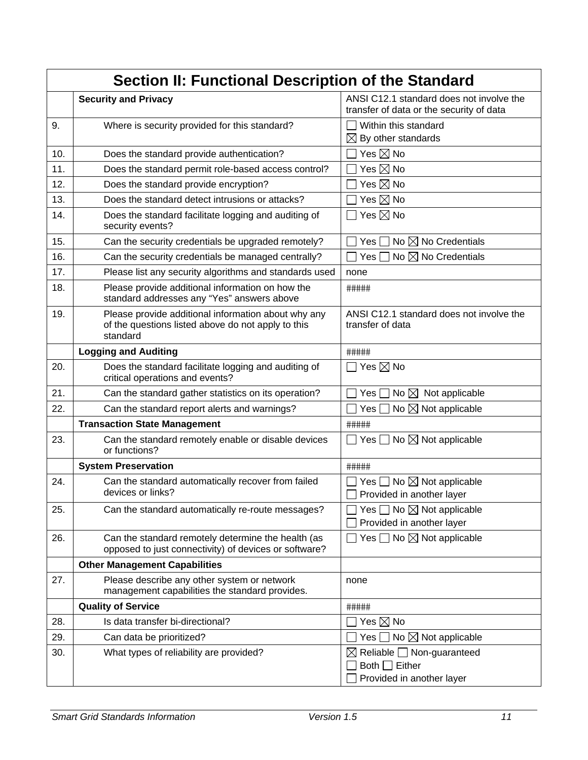|     | Section II: Functional Description of the Standard                                                                    |                                                                                               |  |
|-----|-----------------------------------------------------------------------------------------------------------------------|-----------------------------------------------------------------------------------------------|--|
|     | <b>Security and Privacy</b>                                                                                           | ANSI C12.1 standard does not involve the<br>transfer of data or the security of data          |  |
| 9.  | Where is security provided for this standard?                                                                         | Within this standard<br>$\boxtimes$ By other standards                                        |  |
| 10. | Does the standard provide authentication?                                                                             | Yes $\boxtimes$ No                                                                            |  |
| 11. | Does the standard permit role-based access control?                                                                   | Yes $\boxtimes$ No                                                                            |  |
| 12. | Does the standard provide encryption?                                                                                 | Yes $\boxtimes$ No                                                                            |  |
| 13. | Does the standard detect intrusions or attacks?                                                                       | Yes $\boxtimes$ No                                                                            |  |
| 14. | Does the standard facilitate logging and auditing of<br>security events?                                              | Yes $\boxtimes$ No                                                                            |  |
| 15. | Can the security credentials be upgraded remotely?                                                                    | No $\boxtimes$ No Credentials<br>Yes                                                          |  |
| 16. | Can the security credentials be managed centrally?                                                                    | No $\boxtimes$ No Credentials<br>Yes l                                                        |  |
| 17. | Please list any security algorithms and standards used                                                                | none                                                                                          |  |
| 18. | Please provide additional information on how the<br>standard addresses any "Yes" answers above                        | #####                                                                                         |  |
| 19. | Please provide additional information about why any<br>of the questions listed above do not apply to this<br>standard | ANSI C12.1 standard does not involve the<br>transfer of data                                  |  |
|     | <b>Logging and Auditing</b>                                                                                           | #####                                                                                         |  |
| 20. | Does the standard facilitate logging and auditing of<br>critical operations and events?                               | $\Box$ Yes $\boxtimes$ No                                                                     |  |
| 21. | Can the standard gather statistics on its operation?                                                                  | No $\boxtimes$ Not applicable<br>Yes                                                          |  |
| 22. | Can the standard report alerts and warnings?                                                                          | No $\boxtimes$ Not applicable<br>Yes                                                          |  |
|     | <b>Transaction State Management</b>                                                                                   | #####                                                                                         |  |
| 23. | Can the standard remotely enable or disable devices<br>or functions?                                                  | Yes $\Box$ No $\boxtimes$ Not applicable                                                      |  |
|     | <b>System Preservation</b>                                                                                            | #####                                                                                         |  |
| 24. | Can the standard automatically recover from failed<br>devices or links?                                               | Yes $\Box$ No $\boxtimes$ Not applicable<br>Provided in another layer                         |  |
| 25. | Can the standard automatically re-route messages?                                                                     | Yes $\Box$ No $\boxtimes$ Not applicable<br>Provided in another layer                         |  |
| 26. | Can the standard remotely determine the health (as<br>opposed to just connectivity) of devices or software?           | Yes $\Box$ No $\boxtimes$ Not applicable                                                      |  |
|     | <b>Other Management Capabilities</b>                                                                                  |                                                                                               |  |
| 27. | Please describe any other system or network<br>management capabilities the standard provides.                         | none                                                                                          |  |
|     | <b>Quality of Service</b>                                                                                             | #####                                                                                         |  |
| 28. | Is data transfer bi-directional?                                                                                      | Yes $\boxtimes$ No                                                                            |  |
| 29. | Can data be prioritized?                                                                                              | Yes $\Box$ No $\boxtimes$ Not applicable                                                      |  |
| 30. | What types of reliability are provided?                                                                               | $\boxtimes$ Reliable $\Box$ Non-guaranteed<br>Both $\Box$ Either<br>Provided in another layer |  |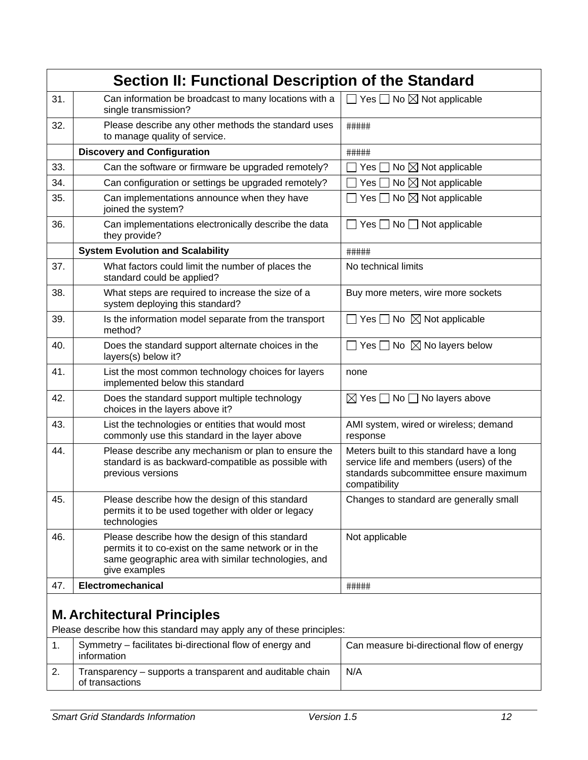|     | Section II: Functional Description of the Standard                                                                                                                              |                                                                                                                                                |
|-----|---------------------------------------------------------------------------------------------------------------------------------------------------------------------------------|------------------------------------------------------------------------------------------------------------------------------------------------|
| 31. | Can information be broadcast to many locations with a<br>single transmission?                                                                                                   | $\Box$ Yes $\Box$ No $\boxtimes$ Not applicable                                                                                                |
| 32. | Please describe any other methods the standard uses<br>to manage quality of service.                                                                                            | #####                                                                                                                                          |
|     | <b>Discovery and Configuration</b>                                                                                                                                              | #####                                                                                                                                          |
| 33. | Can the software or firmware be upgraded remotely?                                                                                                                              | No $\boxtimes$ Not applicable<br>Yes                                                                                                           |
| 34. | Can configuration or settings be upgraded remotely?                                                                                                                             | No $\boxtimes$ Not applicable<br>Yes $\vert \ \vert$                                                                                           |
| 35. | Can implementations announce when they have<br>joined the system?                                                                                                               | Yes $\Box$ No $\boxtimes$ Not applicable                                                                                                       |
| 36. | Can implementations electronically describe the data<br>they provide?                                                                                                           | Yes $\Box$ No $\Box$ Not applicable                                                                                                            |
|     | <b>System Evolution and Scalability</b>                                                                                                                                         | #####                                                                                                                                          |
| 37. | What factors could limit the number of places the<br>standard could be applied?                                                                                                 | No technical limits                                                                                                                            |
| 38. | What steps are required to increase the size of a<br>system deploying this standard?                                                                                            | Buy more meters, wire more sockets                                                                                                             |
| 39. | Is the information model separate from the transport<br>method?                                                                                                                 | Yes $\Box$ No $\boxtimes$ Not applicable                                                                                                       |
| 40. | Does the standard support alternate choices in the<br>layers(s) below it?                                                                                                       | Yes $\Box$ No $\boxtimes$ No layers below                                                                                                      |
| 41. | List the most common technology choices for layers<br>implemented below this standard                                                                                           | none                                                                                                                                           |
| 42. | Does the standard support multiple technology<br>choices in the layers above it?                                                                                                | $\boxtimes$ Yes $\Box$ No $\Box$ No layers above                                                                                               |
| 43. | List the technologies or entities that would most<br>commonly use this standard in the layer above                                                                              | AMI system, wired or wireless; demand<br>response                                                                                              |
| 44. | Please describe any mechanism or plan to ensure the<br>standard is as backward-compatible as possible with<br>previous versions                                                 | Meters built to this standard have a long<br>service life and members (users) of the<br>standards subcommittee ensure maximum<br>compatibility |
| 45. | Please describe how the design of this standard<br>permits it to be used together with older or legacy<br>technologies                                                          | Changes to standard are generally small                                                                                                        |
| 46. | Please describe how the design of this standard<br>permits it to co-exist on the same network or in the<br>same geographic area with similar technologies, and<br>give examples | Not applicable                                                                                                                                 |
| 47. | Electromechanical                                                                                                                                                               | #####                                                                                                                                          |
|     | <b>M. Architectural Principles</b><br>Please describe how this standard may apply any of these principles:                                                                      |                                                                                                                                                |
| 1.  | Symmetry - facilitates bi-directional flow of energy and<br>information                                                                                                         | Can measure bi-directional flow of energy                                                                                                      |
| 2.  | Transparency - supports a transparent and auditable chain<br>of transactions                                                                                                    | N/A                                                                                                                                            |